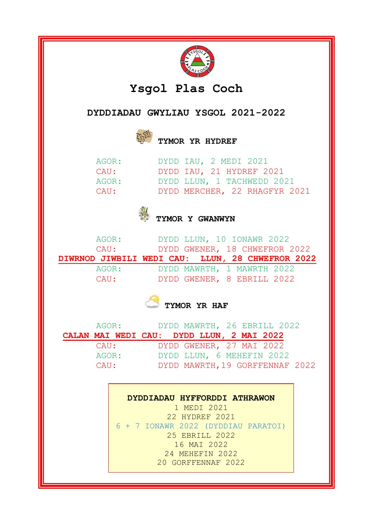